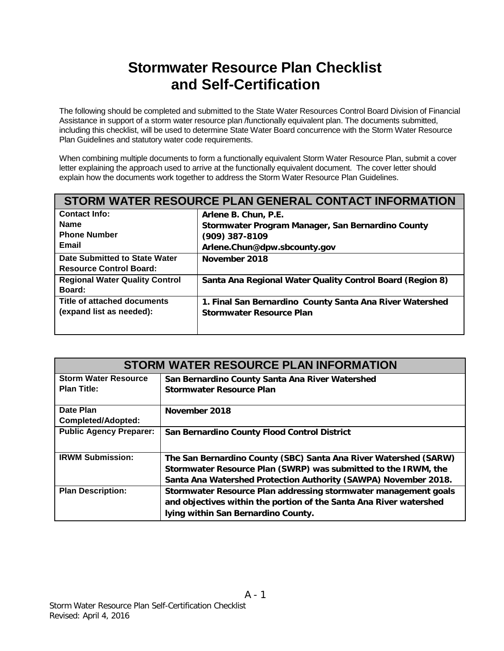# **Stormwater Resource Plan Checklist and Self-Certification**

The following should be completed and submitted to the State Water Resources Control Board Division of Financial Assistance in support of a storm water resource plan /functionally equivalent plan. The documents submitted, including this checklist, will be used to determine State Water Board concurrence with the Storm Water Resource Plan Guidelines and statutory water code requirements.

When combining multiple documents to form a functionally equivalent Storm Water Resource Plan, submit a cover letter explaining the approach used to arrive at the functionally equivalent document. The cover letter should explain how the documents work together to address the Storm Water Resource Plan Guidelines.

|                                       | STORM WATER RESOURCE PLAN GENERAL CONTACT INFORMATION     |
|---------------------------------------|-----------------------------------------------------------|
| <b>Contact Info:</b>                  | Arlene B. Chun, P.E.                                      |
| <b>Name</b>                           | Stormwater Program Manager, San Bernardino County         |
| <b>Phone Number</b>                   | $(909)$ 387-8109                                          |
| Email                                 | Arlene.Chun@dpw.sbcounty.gov                              |
| Date Submitted to State Water         | November 2018                                             |
| <b>Resource Control Board:</b>        |                                                           |
| <b>Regional Water Quality Control</b> | Santa Ana Regional Water Quality Control Board (Region 8) |
| <b>Board:</b>                         |                                                           |
| Title of attached documents           | 1. Final San Bernardino County Santa Ana River Watershed  |
| (expand list as needed):              | <b>Stormwater Resource Plan</b>                           |
|                                       |                                                           |

| <b>STORM WATER RESOURCE PLAN INFORMATION</b> |                                                                                                                                                                              |
|----------------------------------------------|------------------------------------------------------------------------------------------------------------------------------------------------------------------------------|
| <b>Storm Water Resource</b>                  | San Bernardino County Santa Ana River Watershed                                                                                                                              |
| <b>Plan Title:</b>                           | <b>Stormwater Resource Plan</b>                                                                                                                                              |
| Date Plan                                    | November 2018                                                                                                                                                                |
| <b>Completed/Adopted:</b>                    |                                                                                                                                                                              |
| <b>Public Agency Preparer:</b>               | San Bernardino County Flood Control District                                                                                                                                 |
| <b>IRWM Submission:</b>                      | The San Bernardino County (SBC) Santa Ana River Watershed (SARW)                                                                                                             |
|                                              | Stormwater Resource Plan (SWRP) was submitted to the IRWM, the                                                                                                               |
|                                              | Santa Ana Watershed Protection Authority (SAWPA) November 2018.                                                                                                              |
| <b>Plan Description:</b>                     | Stormwater Resource Plan addressing stormwater management goals<br>and objectives within the portion of the Santa Ana River watershed<br>lying within San Bernardino County. |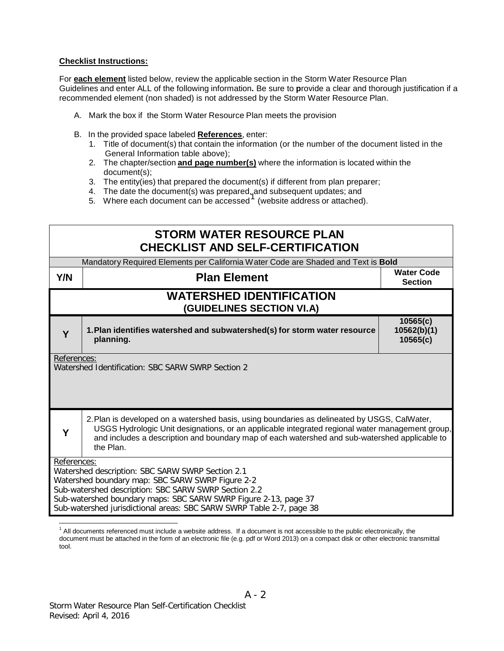#### **Checklist Instructions:**

For **each element** listed below, review the applicable section in the Storm Water Resource Plan Guidelines and enter ALL of the following information**.** Be sure to **p**rovide a clear and thorough justification if a recommended element (non shaded) is not addressed by the Storm Water Resource Plan.

- A. Mark the box if the Storm Water Resource Plan meets the provision
- B. In the provided space labeled **References**, enter:
	- 1. Title of document(s) that contain the information (or the number of the document listed in the General Information table above);
	- 2. The chapter/section **and page number(s)** where the information is located within the document(s);
	- 3. The entity(ies) that prepared the document(s) if different from plan preparer;
	-
	- 4. The date the document(s) was prepared, and subsequent updates; and<br>5. Where each document can be accessed <sup>1</sup> (website address or attached).

|             | <b>STORM WATER RESOURCE PLAN</b><br><b>CHECKLIST AND SELF-CERTIFICATION</b>                                                                                                                                                                                                                                   |                                     |
|-------------|---------------------------------------------------------------------------------------------------------------------------------------------------------------------------------------------------------------------------------------------------------------------------------------------------------------|-------------------------------------|
|             | Mandatory Required Elements per California Water Code are Shaded and Text is Bold                                                                                                                                                                                                                             |                                     |
| <b>Y/N</b>  | <b>Plan Element</b>                                                                                                                                                                                                                                                                                           | <b>Water Code</b><br><b>Section</b> |
|             | <b>WATERSHED IDENTIFICATION</b><br>(GUIDELINES SECTION VI.A)                                                                                                                                                                                                                                                  |                                     |
| Y           | 1. Plan identifies watershed and subwatershed(s) for storm water resource<br>planning.                                                                                                                                                                                                                        | 10565(c)<br>10562(b)(1)<br>10565(c) |
| References: | Watershed Identification: SBC SARW SWRP Section 2                                                                                                                                                                                                                                                             |                                     |
|             | 2. Plan is developed on a watershed basis, using boundaries as delineated by USGS, CalWater,<br>USGS Hydrologic Unit designations, or an applicable integrated regional water management group,<br>and includes a description and boundary map of each watershed and sub-watershed applicable to<br>the Plan. |                                     |
| References: | Watershed description: SBC SARW SWRP Section 2.1<br>Watershed boundary map: SBC SARW SWRP Figure 2-2<br>Sub-watershed description: SBC SARW SWRP Section 2.2<br>Sub-watershed boundary maps: SBC SARW SWRP Figure 2-13, page 37<br>Sub-watershed jurisdictional areas: SBC SARW SWRP Table 2-7, page 38       |                                     |

 $<sup>1</sup>$  All documents referenced must include a website address. If a document is not accessible to the public electronically, the</sup> document must be attached in the form of an electronic file (e.g. pdf or Word 2013) on a compact disk or other electronic transmittal tool.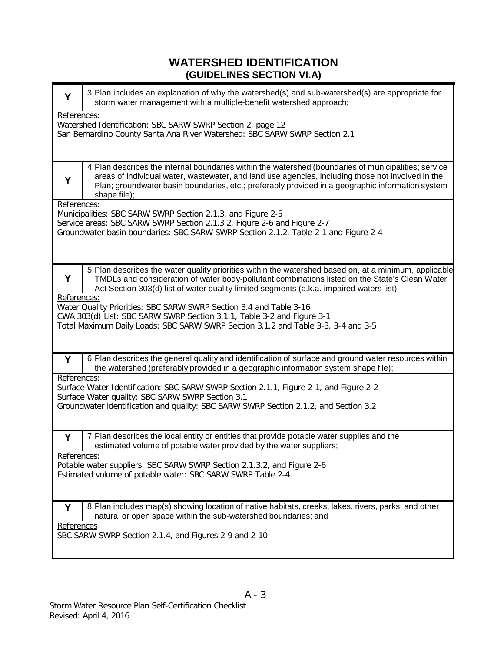| <b>WATERSHED IDENTIFICATION</b><br>(GUIDELINES SECTION VI.A)                                                                                                                                                                                                                                                                                                                                                                                                                                                                                                  |
|---------------------------------------------------------------------------------------------------------------------------------------------------------------------------------------------------------------------------------------------------------------------------------------------------------------------------------------------------------------------------------------------------------------------------------------------------------------------------------------------------------------------------------------------------------------|
| 3. Plan includes an explanation of why the watershed(s) and sub-watershed(s) are appropriate for<br>Y<br>storm water management with a multiple-benefit watershed approach;                                                                                                                                                                                                                                                                                                                                                                                   |
| References:<br>Watershed Identification: SBC SARW SWRP Section 2, page 12<br>San Bernardino County Santa Ana River Watershed: SBC SARW SWRP Section 2.1                                                                                                                                                                                                                                                                                                                                                                                                       |
| 4. Plan describes the internal boundaries within the watershed (boundaries of municipalities; service<br>areas of individual water, wastewater, and land use agencies, including those not involved in the<br>Y<br>Plan; groundwater basin boundaries, etc.; preferably provided in a geographic information system<br>shape file);                                                                                                                                                                                                                           |
| References:<br>Municipalities: SBC SARW SWRP Section 2.1.3, and Figure 2-5<br>Service areas: SBC SARW SWRP Section 2.1.3.2, Figure 2-6 and Figure 2-7<br>Groundwater basin boundaries: SBC SARW SWRP Section 2.1.2, Table 2-1 and Figure 2-4                                                                                                                                                                                                                                                                                                                  |
| 5. Plan describes the water quality priorities within the watershed based on, at a minimum, applicable<br>Y<br>TMDLs and consideration of water body-pollutant combinations listed on the State's Clean Water<br>Act Section 303(d) list of water quality limited segments (a.k.a. impaired waters list);<br>References:<br>Water Quality Priorities: SBC SARW SWRP Section 3.4 and Table 3-16<br>CWA 303(d) List: SBC SARW SWRP Section 3.1.1, Table 3-2 and Figure 3-1<br>Total Maximum Daily Loads: SBC SARW SWRP Section 3.1.2 and Table 3-3, 3-4 and 3-5 |
| 6. Plan describes the general quality and identification of surface and ground water resources within<br>Y<br>the watershed (preferably provided in a geographic information system shape file);<br>References:<br>Surface Water Identification: SBC SARW SWRP Section 2.1.1, Figure 2-1, and Figure 2-2<br>Surface Water quality: SBC SARW SWRP Section 3.1<br>Groundwater identification and quality: SBC SARW SWRP Section 2.1.2, and Section 3.2                                                                                                          |
| 7. Plan describes the local entity or entities that provide potable water supplies and the<br>Υ<br>estimated volume of potable water provided by the water suppliers;<br>References:<br>Potable water suppliers: SBC SARW SWRP Section 2.1.3.2, and Figure 2-6<br>Estimated volume of potable water: SBC SARW SWRP Table 2-4                                                                                                                                                                                                                                  |
| 8. Plan includes map(s) showing location of native habitats, creeks, lakes, rivers, parks, and other<br>Y<br>natural or open space within the sub-watershed boundaries; and<br>References<br>SBC SARW SWRP Section 2.1.4, and Figures 2-9 and 2-10                                                                                                                                                                                                                                                                                                            |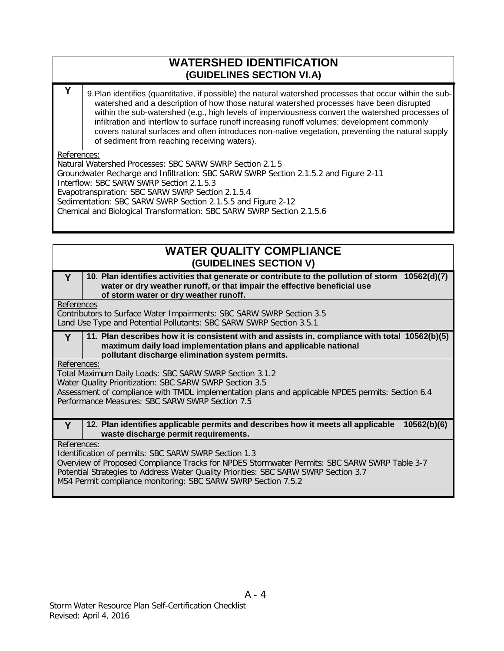### **WATERSHED IDENTIFICATION (GUIDELINES SECTION VI.A)**

**Y** 9. Plan identifies (quantitative, if possible) the natural watershed processes that occur within the subwatershed and a description of how those natural watershed processes have been disrupted within the sub-watershed (e.g., high levels of imperviousness convert the watershed processes of infiltration and interflow to surface runoff increasing runoff volumes; development commonly covers natural surfaces and often introduces non-native vegetation, preventing the natural supply of sediment from reaching receiving waters).

#### References:

Natural Watershed Processes: SBC SARW SWRP Section 2.1.5 Groundwater Recharge and Infiltration: SBC SARW SWRP Section 2.1.5.2 and Figure 2-11 Interflow: SBC SARW SWRP Section 2.1.5.3 Evapotranspiration: SBC SARW SWRP Section 2.1.5.4 Sedimentation: SBC SARW SWRP Section 2.1.5.5 and Figure 2-12 Chemical and Biological Transformation: SBC SARW SWRP Section 2.1.5.6

### **WATER QUALITY COMPLIANCE (GUIDELINES SECTION V)**

#### **Y 10. Plan identifies activities that generate or contribute to the pollution of storm 10562(d)(7) water or dry weather runoff, or that impair the effective beneficial use of storm water or dry weather runoff.**

References

Contributors to Surface Water Impairments: SBC SARW SWRP Section 3.5 Land Use Type and Potential Pollutants: SBC SARW SWRP Section 3.5.1

#### **Y 11. Plan describes how it is consistent with and assists in, compliance with total 10562(b)(5) maximum daily load implementation plans and applicable national pollutant discharge elimination system permits.**

References:

Total Maximum Daily Loads: SBC SARW SWRP Section 3.1.2

Water Quality Prioritization: SBC SARW SWRP Section 3.5

Assessment of compliance with TMDL implementation plans and applicable NPDES permits: Section 6.4 Performance Measures: SBC SARW SWRP Section 7.5

#### **Y 12. Plan identifies applicable permits and describes how it meets all applicable 10562(b)(6) waste discharge permit requirements.**

References:

Identification of permits: SBC SARW SWRP Section 1.3 Overview of Proposed Compliance Tracks for NPDES Stormwater Permits: SBC SARW SWRP Table 3-7 Potential Strategies to Address Water Quality Priorities: SBC SARW SWRP Section 3.7 MS4 Permit compliance monitoring: SBC SARW SWRP Section 7.5.2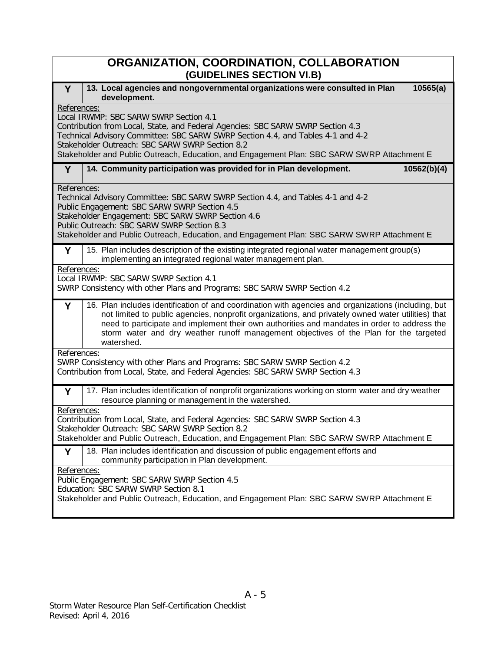| ORGANIZATION, COORDINATION, COLLABORATION<br>(GUIDELINES SECTION VI.B)                                                                                                                                                                                                                                                                                                                                                 |
|------------------------------------------------------------------------------------------------------------------------------------------------------------------------------------------------------------------------------------------------------------------------------------------------------------------------------------------------------------------------------------------------------------------------|
| 13. Local agencies and nongovernmental organizations were consulted in Plan<br>10565(a)<br>Y<br>development.                                                                                                                                                                                                                                                                                                           |
| References:<br>Local IRWMP: SBC SARW SWRP Section 4.1<br>Contribution from Local, State, and Federal Agencies: SBC SARW SWRP Section 4.3<br>Technical Advisory Committee: SBC SARW SWRP Section 4.4, and Tables 4-1 and 4-2<br>Stakeholder Outreach: SBC SARW SWRP Section 8.2<br>Stakeholder and Public Outreach, Education, and Engagement Plan: SBC SARW SWRP Attachment E                                          |
| 14. Community participation was provided for in Plan development.<br>10562(b)(4)<br>Y                                                                                                                                                                                                                                                                                                                                  |
| References:<br>Technical Advisory Committee: SBC SARW SWRP Section 4.4, and Tables 4-1 and 4-2<br>Public Engagement: SBC SARW SWRP Section 4.5<br>Stakeholder Engagement: SBC SARW SWRP Section 4.6<br>Public Outreach: SBC SARW SWRP Section 8.3<br>Stakeholder and Public Outreach, Education, and Engagement Plan: SBC SARW SWRP Attachment E                                                                       |
| 15. Plan includes description of the existing integrated regional water management group(s)<br>Y<br>implementing an integrated regional water management plan.                                                                                                                                                                                                                                                         |
| References:<br>Local IRWMP: SBC SARW SWRP Section 4.1<br>SWRP Consistency with other Plans and Programs: SBC SARW SWRP Section 4.2                                                                                                                                                                                                                                                                                     |
| 16. Plan includes identification of and coordination with agencies and organizations (including, but<br>Y<br>not limited to public agencies, nonprofit organizations, and privately owned water utilities) that<br>need to participate and implement their own authorities and mandates in order to address the<br>storm water and dry weather runoff management objectives of the Plan for the targeted<br>watershed. |
| References:<br>SWRP Consistency with other Plans and Programs: SBC SARW SWRP Section 4.2<br>Contribution from Local, State, and Federal Agencies: SBC SARW SWRP Section 4.3                                                                                                                                                                                                                                            |
| 17. Plan includes identification of nonprofit organizations working on storm water and dry weather<br>Υ<br>resource planning or management in the watershed.                                                                                                                                                                                                                                                           |
| References:<br>Contribution from Local, State, and Federal Agencies: SBC SARW SWRP Section 4.3<br>Stakeholder Outreach: SBC SARW SWRP Section 8.2<br>Stakeholder and Public Outreach, Education, and Engagement Plan: SBC SARW SWRP Attachment E                                                                                                                                                                       |
| 18. Plan includes identification and discussion of public engagement efforts and<br>Y<br>community participation in Plan development.                                                                                                                                                                                                                                                                                  |
| References:<br>Public Engagement: SBC SARW SWRP Section 4.5<br>Education: SBC SARW SWRP Section 8.1<br>Stakeholder and Public Outreach, Education, and Engagement Plan: SBC SARW SWRP Attachment E                                                                                                                                                                                                                     |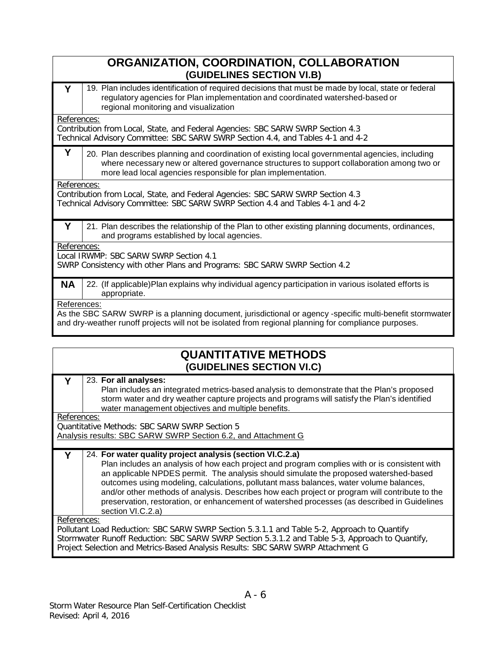| ORGANIZATION, COORDINATION, COLLABORATION<br>(GUIDELINES SECTION VI.B)                                                                                                                                                                                              |
|---------------------------------------------------------------------------------------------------------------------------------------------------------------------------------------------------------------------------------------------------------------------|
| 19. Plan includes identification of required decisions that must be made by local, state or federal<br>Υ<br>regulatory agencies for Plan implementation and coordinated watershed-based or<br>regional monitoring and visualization                                 |
| References:<br>Contribution from Local, State, and Federal Agencies: SBC SARW SWRP Section 4.3<br>Technical Advisory Committee: SBC SARW SWRP Section 4.4, and Tables 4-1 and 4-2                                                                                   |
| Y<br>20. Plan describes planning and coordination of existing local governmental agencies, including<br>where necessary new or altered governance structures to support collaboration among two or<br>more lead local agencies responsible for plan implementation. |
| References:<br>Contribution from Local, State, and Federal Agencies: SBC SARW SWRP Section 4.3<br>Technical Advisory Committee: SBC SARW SWRP Section 4.4 and Tables 4-1 and 4-2                                                                                    |
| Υ<br>21. Plan describes the relationship of the Plan to other existing planning documents, ordinances,<br>and programs established by local agencies.                                                                                                               |
| References:<br>Local IRWMP: SBC SARW SWRP Section 4.1<br>SWRP Consistency with other Plans and Programs: SBC SARW SWRP Section 4.2                                                                                                                                  |
| <b>NA</b><br>22. (If applicable)Plan explains why individual agency participation in various isolated efforts is<br>appropriate.                                                                                                                                    |
| References:<br>As the SBC SARW SWRP is a planning document, jurisdictional or agency -specific multi-benefit stormwater<br>and dry-weather runoff projects will not be isolated from regional planning for compliance purposes.                                     |
| QUANTITATIVE METHODS                                                                                                                                                                                                                                                |

### **QUANTITATIVE METHODS (GUIDELINES SECTION VI.C)**

| Y           | 23. For all analyses:<br>Plan includes an integrated metrics-based analysis to demonstrate that the Plan's proposed<br>storm water and dry weather capture projects and programs will satisfy the Plan's identified<br>water management objectives and multiple benefits.                                                                                                                                                                                                                                                                                            |
|-------------|----------------------------------------------------------------------------------------------------------------------------------------------------------------------------------------------------------------------------------------------------------------------------------------------------------------------------------------------------------------------------------------------------------------------------------------------------------------------------------------------------------------------------------------------------------------------|
| References: | Quantitative Methods: SBC SARW SWRP Section 5<br>Analysis results: SBC SARW SWRP Section 6.2, and Attachment G                                                                                                                                                                                                                                                                                                                                                                                                                                                       |
| Υ           | 24. For water quality project analysis (section VI.C.2.a)<br>Plan includes an analysis of how each project and program complies with or is consistent with<br>an applicable NPDES permit. The analysis should simulate the proposed watershed-based<br>outcomes using modeling, calculations, pollutant mass balances, water volume balances,<br>and/or other methods of analysis. Describes how each project or program will contribute to the<br>preservation, restoration, or enhancement of watershed processes (as described in Guidelines<br>section VI.C.2.a) |
| References: | Pollutant Load Reduction: SBC SARW SWRP Section 5.3.1.1 and Table 5-2, Approach to Quantify<br>Stormwater Runoff Reduction: SBC SARW SWRP Section 5.3.1.2 and Table 5-3, Approach to Quantify,<br>Project Selection and Metrics-Based Analysis Results: SBC SARW SWRP Attachment G                                                                                                                                                                                                                                                                                   |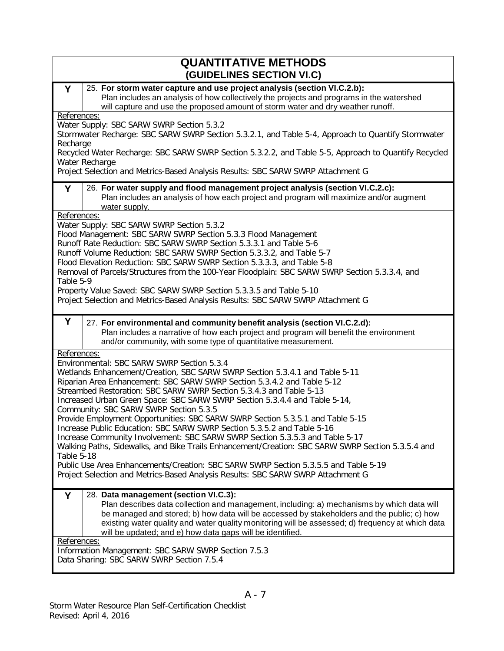| <b>QUANTITATIVE METHODS</b><br>(GUIDELINES SECTION VI.C)                                                                                                                                                                                                                                                                                                                                                                                                                                                                                                                                                                                                                                                                                                                                                                                                                                                                                                      |
|---------------------------------------------------------------------------------------------------------------------------------------------------------------------------------------------------------------------------------------------------------------------------------------------------------------------------------------------------------------------------------------------------------------------------------------------------------------------------------------------------------------------------------------------------------------------------------------------------------------------------------------------------------------------------------------------------------------------------------------------------------------------------------------------------------------------------------------------------------------------------------------------------------------------------------------------------------------|
| 25. For storm water capture and use project analysis (section VI.C.2.b):<br>Y<br>Plan includes an analysis of how collectively the projects and programs in the watershed<br>will capture and use the proposed amount of storm water and dry weather runoff.                                                                                                                                                                                                                                                                                                                                                                                                                                                                                                                                                                                                                                                                                                  |
| References:<br>Water Supply: SBC SARW SWRP Section 5.3.2<br>Stormwater Recharge: SBC SARW SWRP Section 5.3.2.1, and Table 5-4, Approach to Quantify Stormwater<br>Recharge<br>Recycled Water Recharge: SBC SARW SWRP Section 5.3.2.2, and Table 5-5, Approach to Quantify Recycled                                                                                                                                                                                                                                                                                                                                                                                                                                                                                                                                                                                                                                                                            |
| Water Recharge<br>Project Selection and Metrics-Based Analysis Results: SBC SARW SWRP Attachment G                                                                                                                                                                                                                                                                                                                                                                                                                                                                                                                                                                                                                                                                                                                                                                                                                                                            |
| 26. For water supply and flood management project analysis (section VI.C.2.c):<br>Υ<br>Plan includes an analysis of how each project and program will maximize and/or augment<br>water supply.<br>References:                                                                                                                                                                                                                                                                                                                                                                                                                                                                                                                                                                                                                                                                                                                                                 |
| Water Supply: SBC SARW SWRP Section 5.3.2<br>Flood Management: SBC SARW SWRP Section 5.3.3 Flood Management<br>Runoff Rate Reduction: SBC SARW SWRP Section 5.3.3.1 and Table 5-6<br>Runoff Volume Reduction: SBC SARW SWRP Section 5.3.3.2, and Table 5-7<br>Flood Elevation Reduction: SBC SARW SWRP Section 5.3.3.3, and Table 5-8<br>Removal of Parcels/Structures from the 100-Year Floodplain: SBC SARW SWRP Section 5.3.3.4, and<br>Table 5-9<br>Property Value Saved: SBC SARW SWRP Section 5.3.3.5 and Table 5-10<br>Project Selection and Metrics-Based Analysis Results: SBC SARW SWRP Attachment G                                                                                                                                                                                                                                                                                                                                                |
| Y<br>27. For environmental and community benefit analysis (section VI.C.2.d):<br>Plan includes a narrative of how each project and program will benefit the environment<br>and/or community, with some type of quantitative measurement.                                                                                                                                                                                                                                                                                                                                                                                                                                                                                                                                                                                                                                                                                                                      |
| References:<br>Environmental: SBC SARW SWRP Section 5.3.4<br>Wetlands Enhancement/Creation, SBC SARW SWRP Section 5.3.4.1 and Table 5-11<br>Riparian Area Enhancement: SBC SARW SWRP Section 5.3.4.2 and Table 5-12<br>Streambed Restoration: SBC SARW SWRP Section 5.3.4.3 and Table 5-13<br>Increased Urban Green Space: SBC SARW SWRP Section 5.3.4.4 and Table 5-14,<br>Community: SBC SARW SWRP Section 5.3.5<br>Provide Employment Opportunities: SBC SARW SWRP Section 5.3.5.1 and Table 5-15<br>Increase Public Education: SBC SARW SWRP Section 5.3.5.2 and Table 5-16<br>Increase Community Involvement: SBC SARW SWRP Section 5.3.5.3 and Table 5-17<br>Walking Paths, Sidewalks, and Bike Trails Enhancement/Creation: SBC SARW SWRP Section 5.3.5.4 and<br>Table 5-18<br>Public Use Area Enhancements/Creation: SBC SARW SWRP Section 5.3.5.5 and Table 5-19<br>Project Selection and Metrics-Based Analysis Results: SBC SARW SWRP Attachment G |
| 28. Data management (section VI.C.3):<br>Y<br>Plan describes data collection and management, including: a) mechanisms by which data will<br>be managed and stored; b) how data will be accessed by stakeholders and the public; c) how<br>existing water quality and water quality monitoring will be assessed; d) frequency at which data<br>will be updated; and e) how data gaps will be identified.                                                                                                                                                                                                                                                                                                                                                                                                                                                                                                                                                       |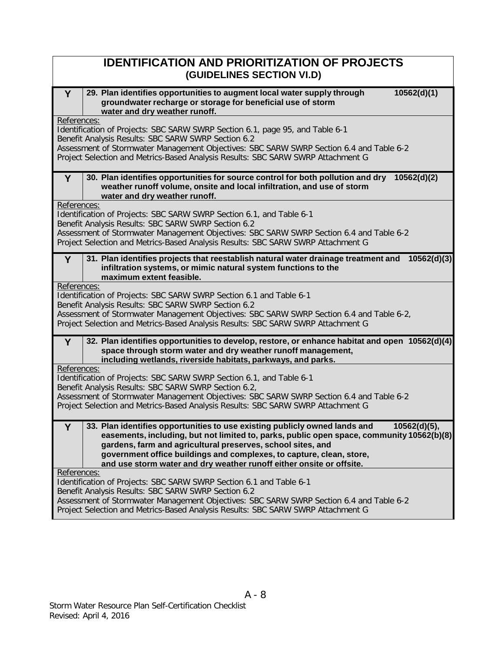| <b>IDENTIFICATION AND PRIORITIZATION OF PROJECTS</b><br>(GUIDELINES SECTION VI.D)                                                                                                                                                                                                                                                                                                                           |
|-------------------------------------------------------------------------------------------------------------------------------------------------------------------------------------------------------------------------------------------------------------------------------------------------------------------------------------------------------------------------------------------------------------|
| 29. Plan identifies opportunities to augment local water supply through<br>10562(d)(1)<br>Y<br>groundwater recharge or storage for beneficial use of storm<br>water and dry weather runoff.                                                                                                                                                                                                                 |
| References:                                                                                                                                                                                                                                                                                                                                                                                                 |
| Identification of Projects: SBC SARW SWRP Section 6.1, page 95, and Table 6-1                                                                                                                                                                                                                                                                                                                               |
| Benefit Analysis Results: SBC SARW SWRP Section 6.2<br>Assessment of Stormwater Management Objectives: SBC SARW SWRP Section 6.4 and Table 6-2                                                                                                                                                                                                                                                              |
| Project Selection and Metrics-Based Analysis Results: SBC SARW SWRP Attachment G                                                                                                                                                                                                                                                                                                                            |
| 30. Plan identifies opportunities for source control for both pollution and dry<br>10562(d)(2)<br>Y.<br>weather runoff volume, onsite and local infiltration, and use of storm<br>water and dry weather runoff.                                                                                                                                                                                             |
| References:                                                                                                                                                                                                                                                                                                                                                                                                 |
| Identification of Projects: SBC SARW SWRP Section 6.1, and Table 6-1                                                                                                                                                                                                                                                                                                                                        |
| Benefit Analysis Results: SBC SARW SWRP Section 6.2                                                                                                                                                                                                                                                                                                                                                         |
| Assessment of Stormwater Management Objectives: SBC SARW SWRP Section 6.4 and Table 6-2                                                                                                                                                                                                                                                                                                                     |
| Project Selection and Metrics-Based Analysis Results: SBC SARW SWRP Attachment G                                                                                                                                                                                                                                                                                                                            |
| 31. Plan identifies projects that reestablish natural water drainage treatment and<br>10562(d)(3)<br>Y<br>infiltration systems, or mimic natural system functions to the<br>maximum extent feasible.                                                                                                                                                                                                        |
| References:                                                                                                                                                                                                                                                                                                                                                                                                 |
| Identification of Projects: SBC SARW SWRP Section 6.1 and Table 6-1<br>Benefit Analysis Results: SBC SARW SWRP Section 6.2                                                                                                                                                                                                                                                                                  |
| Assessment of Stormwater Management Objectives: SBC SARW SWRP Section 6.4 and Table 6-2,                                                                                                                                                                                                                                                                                                                    |
| Project Selection and Metrics-Based Analysis Results: SBC SARW SWRP Attachment G                                                                                                                                                                                                                                                                                                                            |
|                                                                                                                                                                                                                                                                                                                                                                                                             |
| 32. Plan identifies opportunities to develop, restore, or enhance habitat and open 10562(d)(4)<br>Y<br>space through storm water and dry weather runoff management,<br>including wetlands, riverside habitats, parkways, and parks.                                                                                                                                                                         |
| References:                                                                                                                                                                                                                                                                                                                                                                                                 |
| Identification of Projects: SBC SARW SWRP Section 6.1, and Table 6-1                                                                                                                                                                                                                                                                                                                                        |
| Benefit Analysis Results: SBC SARW SWRP Section 6.2,<br>Assessment of Stormwater Management Objectives: SBC SARW SWRP Section 6.4 and Table 6-2                                                                                                                                                                                                                                                             |
| Project Selection and Metrics-Based Analysis Results: SBC SARW SWRP Attachment G                                                                                                                                                                                                                                                                                                                            |
|                                                                                                                                                                                                                                                                                                                                                                                                             |
| 33. Plan identifies opportunities to use existing publicly owned lands and<br>10562(d)(5),<br>Y<br>easements, including, but not limited to, parks, public open space, community 10562(b)(8)<br>gardens, farm and agricultural preserves, school sites, and<br>government office buildings and complexes, to capture, clean, store,<br>and use storm water and dry weather runoff either onsite or offsite. |
| References:<br>Identification of Projects: SBC SARW SWRP Section 6.1 and Table 6-1                                                                                                                                                                                                                                                                                                                          |
| Benefit Analysis Results: SBC SARW SWRP Section 6.2                                                                                                                                                                                                                                                                                                                                                         |
| Assessment of Stormwater Management Objectives: SBC SARW SWRP Section 6.4 and Table 6-2                                                                                                                                                                                                                                                                                                                     |
| Project Selection and Metrics-Based Analysis Results: SBC SARW SWRP Attachment G                                                                                                                                                                                                                                                                                                                            |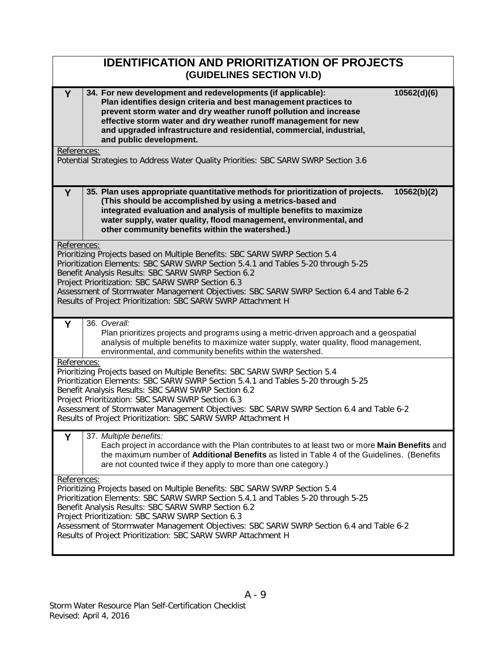|             | <b>IDENTIFICATION AND PRIORITIZATION OF PROJECTS</b><br>(GUIDELINES SECTION VI.D)                                                                                                                                                                                                                                                                                                                                                        |
|-------------|------------------------------------------------------------------------------------------------------------------------------------------------------------------------------------------------------------------------------------------------------------------------------------------------------------------------------------------------------------------------------------------------------------------------------------------|
| Y           | 34. For new development and redevelopments (if applicable):<br>10562(d)(6)<br>Plan identifies design criteria and best management practices to<br>prevent storm water and dry weather runoff pollution and increase<br>effective storm water and dry weather runoff management for new<br>and upgraded infrastructure and residential, commercial, industrial,<br>and public development.                                                |
| References: |                                                                                                                                                                                                                                                                                                                                                                                                                                          |
|             | Potential Strategies to Address Water Quality Priorities: SBC SARW SWRP Section 3.6                                                                                                                                                                                                                                                                                                                                                      |
| Υ           | 35. Plan uses appropriate quantitative methods for prioritization of projects.<br>10562(b)(2)<br>(This should be accomplished by using a metrics-based and<br>integrated evaluation and analysis of multiple benefits to maximize<br>water supply, water quality, flood management, environmental, and<br>other community benefits within the watershed.)                                                                                |
| References: | Prioritizing Projects based on Multiple Benefits: SBC SARW SWRP Section 5.4<br>Prioritization Elements: SBC SARW SWRP Section 5.4.1 and Tables 5-20 through 5-25<br>Benefit Analysis Results: SBC SARW SWRP Section 6.2<br>Project Prioritization: SBC SARW SWRP Section 6.3<br>Assessment of Stormwater Management Objectives: SBC SARW SWRP Section 6.4 and Table 6-2<br>Results of Project Prioritization: SBC SARW SWRP Attachment H |
| Y           | 36. Overall:<br>Plan prioritizes projects and programs using a metric-driven approach and a geospatial<br>analysis of multiple benefits to maximize water supply, water quality, flood management,<br>environmental, and community benefits within the watershed.                                                                                                                                                                        |
| References: | Prioritizing Projects based on Multiple Benefits: SBC SARW SWRP Section 5.4<br>Prioritization Elements: SBC SARW SWRP Section 5.4.1 and Tables 5-20 through 5-25<br>Benefit Analysis Results: SBC SARW SWRP Section 6.2<br>Project Prioritization: SBC SARW SWRP Section 6.3<br>Assessment of Stormwater Management Objectives: SBC SARW SWRP Section 6.4 and Table 6-2<br>Results of Project Prioritization: SBC SARW SWRP Attachment H |
| Y           | 37. Multiple benefits:<br>Each project in accordance with the Plan contributes to at least two or more Main Benefits and<br>the maximum number of <b>Additional Benefits</b> as listed in Table 4 of the Guidelines. (Benefits<br>are not counted twice if they apply to more than one category.)                                                                                                                                        |
| References: | Prioritizing Projects based on Multiple Benefits: SBC SARW SWRP Section 5.4<br>Prioritization Elements: SBC SARW SWRP Section 5.4.1 and Tables 5-20 through 5-25<br>Benefit Analysis Results: SBC SARW SWRP Section 6.2<br>Project Prioritization: SBC SARW SWRP Section 6.3<br>Assessment of Stormwater Management Objectives: SBC SARW SWRP Section 6.4 and Table 6-2<br>Results of Project Prioritization: SBC SARW SWRP Attachment H |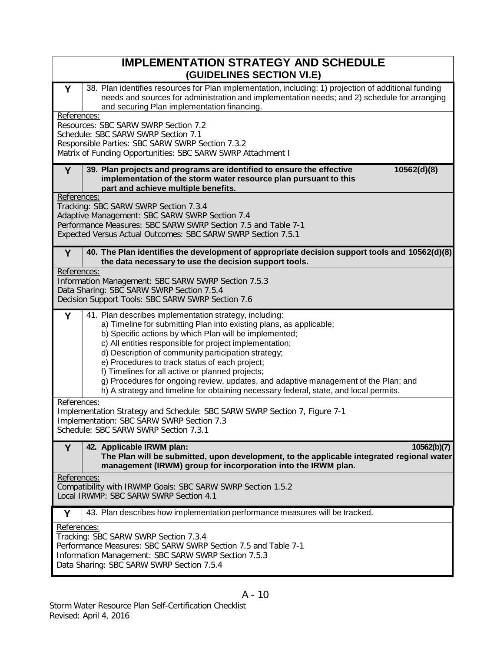| <b>IMPLEMENTATION STRATEGY AND SCHEDULE</b><br>(GUIDELINES SECTION VI.E)                                                                                                                                                                                                                                                                                                                                                                                                                                                                                                                             |
|------------------------------------------------------------------------------------------------------------------------------------------------------------------------------------------------------------------------------------------------------------------------------------------------------------------------------------------------------------------------------------------------------------------------------------------------------------------------------------------------------------------------------------------------------------------------------------------------------|
| 38. Plan identifies resources for Plan implementation, including: 1) projection of additional funding<br>Y<br>needs and sources for administration and implementation needs; and 2) schedule for arranging<br>and securing Plan implementation financing.<br>References:                                                                                                                                                                                                                                                                                                                             |
| Resources: SBC SARW SWRP Section 7.2<br>Schedule: SBC SARW SWRP Section 7.1<br>Responsible Parties: SBC SARW SWRP Section 7.3.2<br>Matrix of Funding Opportunities: SBC SARW SWRP Attachment I                                                                                                                                                                                                                                                                                                                                                                                                       |
| 39. Plan projects and programs are identified to ensure the effective<br>10562(d)(8)<br>Y<br>implementation of the storm water resource plan pursuant to this<br>part and achieve multiple benefits.                                                                                                                                                                                                                                                                                                                                                                                                 |
| References:<br>Tracking: SBC SARW SWRP Section 7.3.4<br>Adaptive Management: SBC SARW SWRP Section 7.4<br>Performance Measures: SBC SARW SWRP Section 7.5 and Table 7-1<br>Expected Versus Actual Outcomes: SBC SARW SWRP Section 7.5.1                                                                                                                                                                                                                                                                                                                                                              |
| 40. The Plan identifies the development of appropriate decision support tools and 10562(d)(8)<br>Y<br>the data necessary to use the decision support tools.                                                                                                                                                                                                                                                                                                                                                                                                                                          |
| References:<br>Information Management: SBC SARW SWRP Section 7.5.3<br>Data Sharing: SBC SARW SWRP Section 7.5.4<br>Decision Support Tools: SBC SARW SWRP Section 7.6                                                                                                                                                                                                                                                                                                                                                                                                                                 |
| Y<br>41. Plan describes implementation strategy, including:<br>a) Timeline for submitting Plan into existing plans, as applicable;<br>b) Specific actions by which Plan will be implemented;<br>c) All entities responsible for project implementation;<br>d) Description of community participation strategy;<br>e) Procedures to track status of each project;<br>f) Timelines for all active or planned projects;<br>g) Procedures for ongoing review, updates, and adaptive management of the Plan; and<br>h) A strategy and timeline for obtaining necessary federal, state, and local permits. |
| References:<br>Implementation Strategy and Schedule: SBC SARW SWRP Section 7, Figure 7-1<br>Implementation: SBC SARW SWRP Section 7.3<br>Schedule: SBC SARW SWRP Section 7.3.1                                                                                                                                                                                                                                                                                                                                                                                                                       |
| 42. Applicable IRWM plan:<br>Y<br>10562(b)(7)<br>The Plan will be submitted, upon development, to the applicable integrated regional water<br>management (IRWM) group for incorporation into the IRWM plan.                                                                                                                                                                                                                                                                                                                                                                                          |
| References:<br>Compatibility with IRWMP Goals: SBC SARW SWRP Section 1.5.2<br>Local IRWMP: SBC SARW SWRP Section 4.1                                                                                                                                                                                                                                                                                                                                                                                                                                                                                 |
| 43. Plan describes how implementation performance measures will be tracked.<br>Υ                                                                                                                                                                                                                                                                                                                                                                                                                                                                                                                     |
| References:<br>Tracking: SBC SARW SWRP Section 7.3.4<br>Performance Measures: SBC SARW SWRP Section 7.5 and Table 7-1<br>Information Management: SBC SARW SWRP Section 7.5.3<br>Data Sharing: SBC SARW SWRP Section 7.5.4                                                                                                                                                                                                                                                                                                                                                                            |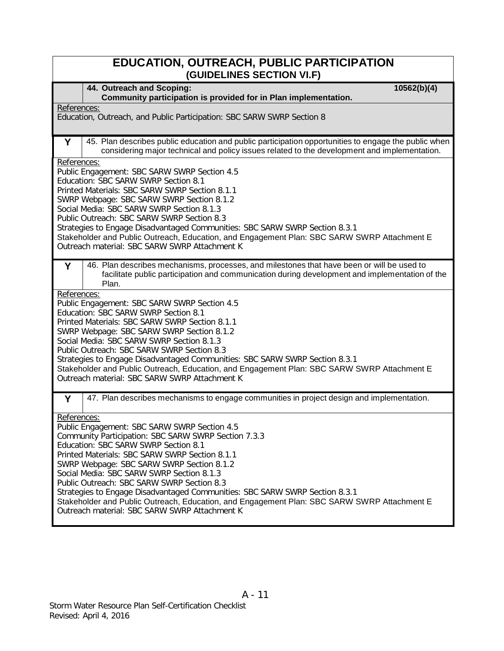| <b>EDUCATION, OUTREACH, PUBLIC PARTICIPATION</b><br>(GUIDELINES SECTION VI.F)                                                                                                                                                                                                                                                                                                                                                                                                                                                                                                        |
|--------------------------------------------------------------------------------------------------------------------------------------------------------------------------------------------------------------------------------------------------------------------------------------------------------------------------------------------------------------------------------------------------------------------------------------------------------------------------------------------------------------------------------------------------------------------------------------|
| 44. Outreach and Scoping:<br>10562(b)(4)<br>Community participation is provided for in Plan implementation.                                                                                                                                                                                                                                                                                                                                                                                                                                                                          |
| References:<br>Education, Outreach, and Public Participation: SBC SARW SWRP Section 8                                                                                                                                                                                                                                                                                                                                                                                                                                                                                                |
| 45. Plan describes public education and public participation opportunities to engage the public when<br>Y<br>considering major technical and policy issues related to the development and implementation.                                                                                                                                                                                                                                                                                                                                                                            |
| References:<br>Public Engagement: SBC SARW SWRP Section 4.5<br>Education: SBC SARW SWRP Section 8.1<br>Printed Materials: SBC SARW SWRP Section 8.1.1<br>SWRP Webpage: SBC SARW SWRP Section 8.1.2<br>Social Media: SBC SARW SWRP Section 8.1.3<br>Public Outreach: SBC SARW SWRP Section 8.3<br>Strategies to Engage Disadvantaged Communities: SBC SARW SWRP Section 8.3.1<br>Stakeholder and Public Outreach, Education, and Engagement Plan: SBC SARW SWRP Attachment E<br>Outreach material: SBC SARW SWRP Attachment K                                                         |
| 46. Plan describes mechanisms, processes, and milestones that have been or will be used to<br>Y<br>facilitate public participation and communication during development and implementation of the<br>Plan.                                                                                                                                                                                                                                                                                                                                                                           |
| References:<br>Public Engagement: SBC SARW SWRP Section 4.5<br>Education: SBC SARW SWRP Section 8.1<br>Printed Materials: SBC SARW SWRP Section 8.1.1<br>SWRP Webpage: SBC SARW SWRP Section 8.1.2<br>Social Media: SBC SARW SWRP Section 8.1.3<br>Public Outreach: SBC SARW SWRP Section 8.3<br>Strategies to Engage Disadvantaged Communities: SBC SARW SWRP Section 8.3.1<br>Stakeholder and Public Outreach, Education, and Engagement Plan: SBC SARW SWRP Attachment E<br>Outreach material: SBC SARW SWRP Attachment K                                                         |
| 47. Plan describes mechanisms to engage communities in project design and implementation.<br>Υ                                                                                                                                                                                                                                                                                                                                                                                                                                                                                       |
| References:<br>Public Engagement: SBC SARW SWRP Section 4.5<br>Community Participation: SBC SARW SWRP Section 7.3.3<br>Education: SBC SARW SWRP Section 8.1<br>Printed Materials: SBC SARW SWRP Section 8.1.1<br>SWRP Webpage: SBC SARW SWRP Section 8.1.2<br>Social Media: SBC SARW SWRP Section 8.1.3<br>Public Outreach: SBC SARW SWRP Section 8.3<br>Strategies to Engage Disadvantaged Communities: SBC SARW SWRP Section 8.3.1<br>Stakeholder and Public Outreach, Education, and Engagement Plan: SBC SARW SWRP Attachment E<br>Outreach material: SBC SARW SWRP Attachment K |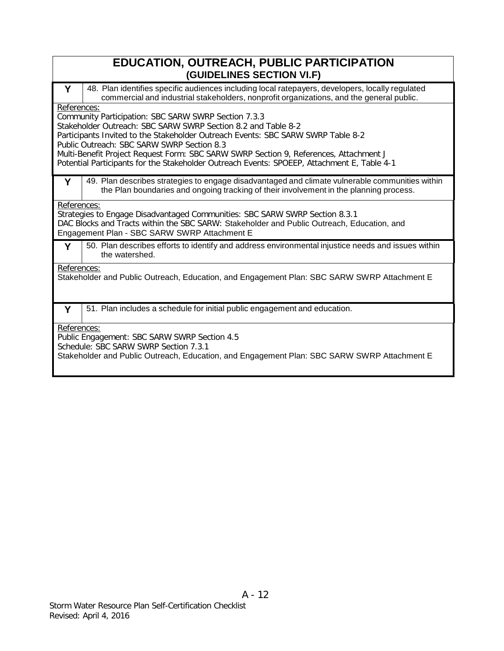| <b>EDUCATION, OUTREACH, PUBLIC PARTICIPATION</b><br>(GUIDELINES SECTION VI.F)                                                                                                                                                                                                                                                                                                                                                                                  |                                                                                                                                                                                              |  |  |
|----------------------------------------------------------------------------------------------------------------------------------------------------------------------------------------------------------------------------------------------------------------------------------------------------------------------------------------------------------------------------------------------------------------------------------------------------------------|----------------------------------------------------------------------------------------------------------------------------------------------------------------------------------------------|--|--|
| Y                                                                                                                                                                                                                                                                                                                                                                                                                                                              | 48. Plan identifies specific audiences including local ratepayers, developers, locally regulated<br>commercial and industrial stakeholders, nonprofit organizations, and the general public. |  |  |
| References:<br>Community Participation: SBC SARW SWRP Section 7.3.3<br>Stakeholder Outreach: SBC SARW SWRP Section 8.2 and Table 8-2<br>Participants Invited to the Stakeholder Outreach Events: SBC SARW SWRP Table 8-2<br>Public Outreach: SBC SARW SWRP Section 8.3<br>Multi-Benefit Project Request Form: SBC SARW SWRP Section 9, References, Attachment J<br>Potential Participants for the Stakeholder Outreach Events: SPOEEP, Attachment E, Table 4-1 |                                                                                                                                                                                              |  |  |
| Y                                                                                                                                                                                                                                                                                                                                                                                                                                                              | 49. Plan describes strategies to engage disadvantaged and climate vulnerable communities within<br>the Plan boundaries and ongoing tracking of their involvement in the planning process.    |  |  |
| References:<br>Strategies to Engage Disadvantaged Communities: SBC SARW SWRP Section 8.3.1<br>DAC Blocks and Tracts within the SBC SARW: Stakeholder and Public Outreach, Education, and<br>Engagement Plan - SBC SARW SWRP Attachment E                                                                                                                                                                                                                       |                                                                                                                                                                                              |  |  |
| Y                                                                                                                                                                                                                                                                                                                                                                                                                                                              | 50. Plan describes efforts to identify and address environmental injustice needs and issues within<br>the watershed.                                                                         |  |  |
| References:<br>Stakeholder and Public Outreach, Education, and Engagement Plan: SBC SARW SWRP Attachment E                                                                                                                                                                                                                                                                                                                                                     |                                                                                                                                                                                              |  |  |
| Y                                                                                                                                                                                                                                                                                                                                                                                                                                                              | 51. Plan includes a schedule for initial public engagement and education.                                                                                                                    |  |  |
| References:<br>Public Engagement: SBC SARW SWRP Section 4.5<br>Schedule: SBC SARW SWRP Section 7.3.1<br>Stakeholder and Public Outreach, Education, and Engagement Plan: SBC SARW SWRP Attachment E                                                                                                                                                                                                                                                            |                                                                                                                                                                                              |  |  |